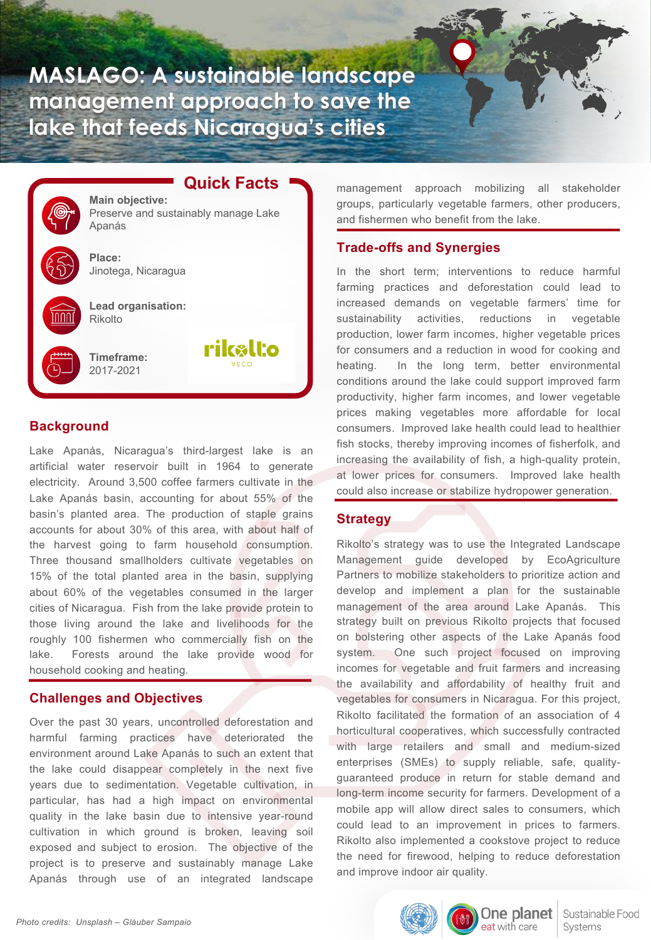**MASLAGO: A sustainable landscape management approach to save the lake that feeds Nicaragua's cities**

rikalto

**Quick Facts Main objective:** Preserve and sustainably manage Lake Apanás **Place:** Jinotega, Nicaragua **Lead organisation:** Rikolto

**Timeframe:** 2017-2021

## **Background**

Lake Apanás, Nicaragua's third-largest lake is an artificial water reservoir built in 1964 to generate electricity. Around 3,500 coffee farmers cultivate in the Lake Apanás basin, accounting for about 55% of the basin's planted area. The production of staple grains accounts for about 30% of this area, with about half of the harvest going to farm household consumption. Three thousand smallholders cultivate vegetables on 15% of the total planted area in the basin, supplying about 60% of the vegetables consumed in the larger cities of Nicaragua. Fish from the lake provide protein to those living around the lake and livelihoods for the roughly 100 fishermen who commercially fish on the lake. Forests around the lake provide wood for household cooking and heating.

## **Challenges and Objectives**

Over the past 30 years, uncontrolled deforestation and harmful farming practices have deteriorated the environment around Lake Apanás to such an extent that the lake could disappear completely in the next five years due to sedimentation. Vegetable cultivation, in particular, has had a high impact on environmental quality in the lake basin due to intensive year-round cultivation in which ground is broken, leaving soil exposed and subject to erosion. The objective of the project is to preserve and sustainably manage Lake Apanás through use of an integrated landscape

management approach mobilizing all stakeholder groups, particularly vegetable farmers, other producers, and fishermen who benefit from the lake.

# **Trade-offs and Synergies**

In the short term; interventions to reduce harmful farming practices and deforestation could lead to increased demands on vegetable farmers' time for sustainability activities, reductions in vegetable production, lower farm incomes, higher vegetable prices for consumers and a reduction in wood for cooking and heating. In the long term, better environmental conditions around the lake could support improved farm productivity, higher farm incomes, and lower vegetable prices making vegetables more affordable for local consumers. Improved lake health could lead to healthier fish stocks, thereby improving incomes of fisherfolk, and increasing the availability of fish, a high-quality protein, at lower prices for consumers. Improved lake health could also increase or stabilize hydropower generation.

## **Strategy**

Rikolto's strategy was to use the Integrated Landscape Management guide developed by EcoAgriculture Partners to mobilize stakeholders to prioritize action and develop and implement a plan for the sustainable management of the area around Lake Apanás. This strategy built on previous Rikolto projects that focused on bolstering other aspects of the Lake Apanás food system. One such project focused on improving incomes for vegetable and fruit farmers and increasing the availability and affordability of healthy fruit and vegetables for consumers in Nicaragua. For this project, Rikolto facilitated the formation of an association of 4 horticultural cooperatives, which successfully contracted with large retailers and small and medium-sized enterprises (SMEs) to supply reliable, safe, qualityguaranteed produce in return for stable demand and long-term income security for farmers. Development of a mobile app will allow direct sales to consumers, which could lead to an improvement in prices to farmers. Rikolto also implemented a cookstove project to reduce the need for firewood, helping to reduce deforestation and improve indoor air quality.

eat with care



One planet Sustainable Food Systems